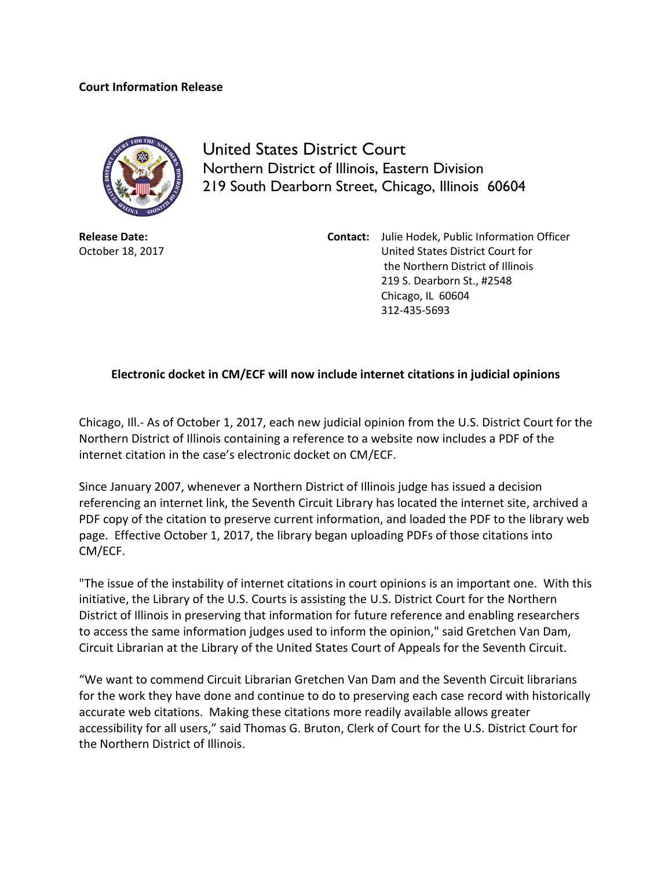## **Court Information Release**



United States District Court Northern District of Illinois, Eastern Division 219 South Dearborn Street, Chicago, Illinois 60604

**Release Date:** October 18, 2017

**Contact:** Julie Hodek, Public Information Officer United States District Court for the Northern District of Illinois 219 S. Dearborn St., #2548 Chicago, IL 60604 312-435-5693

## **Electronic docket in CM/ECF will now include internet citations in judicial opinions**

Chicago, Ill.- As of October 1, 2017, each new judicial opinion from the U.S. District Court for the Northern District of Illinois containing a reference to a website now includes a PDF of the internet citation in the case's electronic docket on CM/ECF.

Since January 2007, whenever a Northern District of Illinois judge has issued a decision referencing an internet link, the Seventh Circuit Library has located the internet site, archived a PDF copy of the citation to preserve current information, and loaded the PDF to the library web page. Effective October 1, 2017, the library began uploading PDFs of those citations into CM/ECF.

"The issue of the instability of internet citations in court opinions is an important one. With this initiative, the Library of the U.S. Courts is assisting the U.S. District Court for the Northern District of Illinois in preserving that information for future reference and enabling researchers to access the same information judges used to inform the opinion," said Gretchen Van Dam, Circuit Librarian at the Library of the United States Court of Appeals for the Seventh Circuit.

"We want to commend Circuit Librarian Gretchen Van Dam and the Seventh Circuit librarians for the work they have done and continue to do to preserving each case record with historically accurate web citations. Making these citations more readily available allows greater accessibility for all users," said Thomas G. Bruton, Clerk of Court for the U.S. District Court for the Northern District of Illinois.